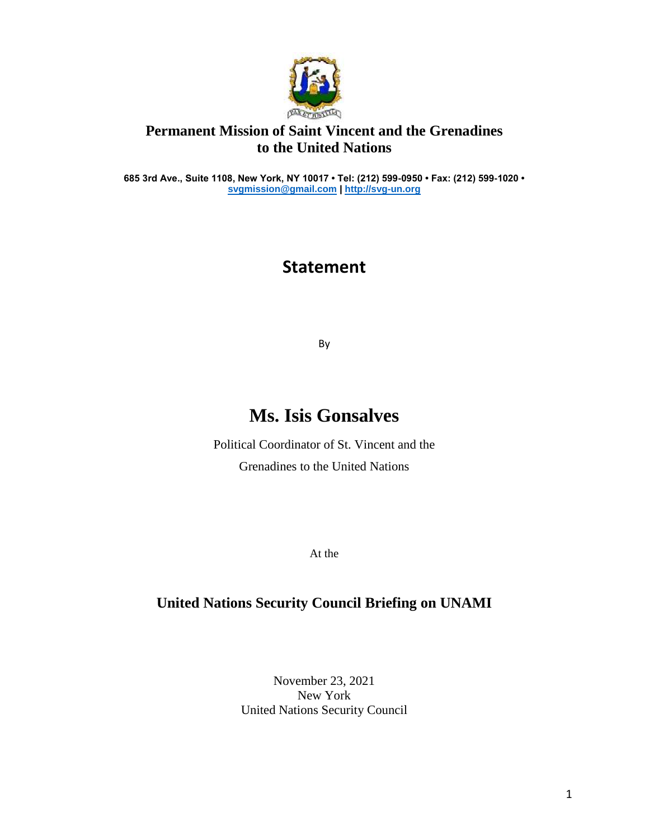

### **Permanent Mission of Saint Vincent and the Grenadines to the United Nations**

**685 3rd Ave., Suite 1108, New York, NY 10017 • Tel: (212) 599-0950 • Fax: (212) 599-1020 • [svgmission@gmail.com](mailto:svgmission@gmail.com) [| http://svg-un.org](http://svg-un.org/)**

# **Statement**

By

# **Ms. Isis Gonsalves**

Political Coordinator of St. Vincent and the Grenadines to the United Nations

At the

#### **United Nations Security Council Briefing on UNAMI**

November 23, 2021 New York United Nations Security Council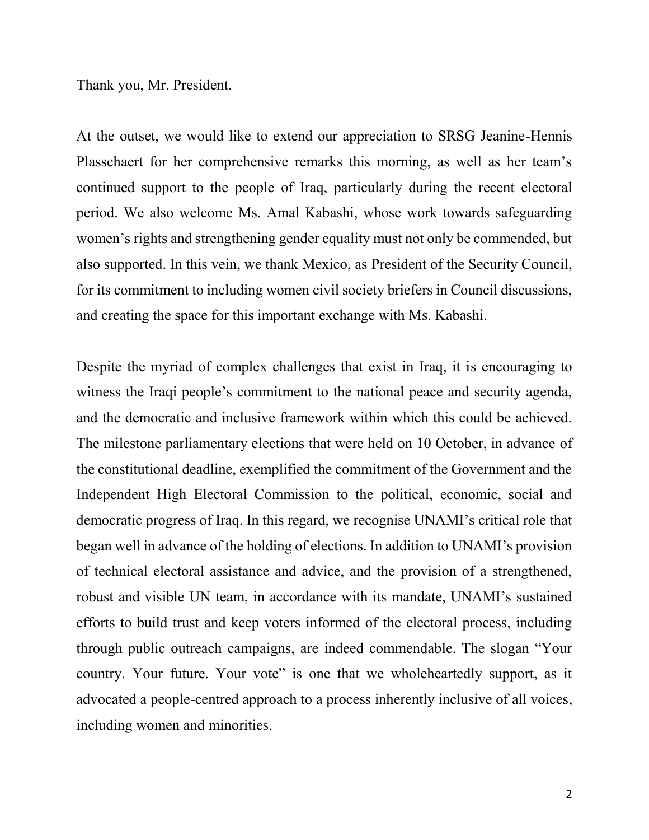Thank you, Mr. President.

At the outset, we would like to extend our appreciation to SRSG Jeanine-Hennis Plasschaert for her comprehensive remarks this morning, as well as her team's continued support to the people of Iraq, particularly during the recent electoral period. We also welcome Ms. Amal Kabashi, whose work towards safeguarding women's rights and strengthening gender equality must not only be commended, but also supported. In this vein, we thank Mexico, as President of the Security Council, for its commitment to including women civil society briefers in Council discussions, and creating the space for this important exchange with Ms. Kabashi.

Despite the myriad of complex challenges that exist in Iraq, it is encouraging to witness the Iraqi people's commitment to the national peace and security agenda, and the democratic and inclusive framework within which this could be achieved. The milestone parliamentary elections that were held on 10 October, in advance of the constitutional deadline, exemplified the commitment of the Government and the Independent High Electoral Commission to the political, economic, social and democratic progress of Iraq. In this regard, we recognise UNAMI's critical role that began well in advance of the holding of elections. In addition to UNAMI's provision of technical electoral assistance and advice, and the provision of a strengthened, robust and visible UN team, in accordance with its mandate, UNAMI's sustained efforts to build trust and keep voters informed of the electoral process, including through public outreach campaigns, are indeed commendable. The slogan "Your country. Your future. Your vote" is one that we wholeheartedly support, as it advocated a people-centred approach to a process inherently inclusive of all voices, including women and minorities.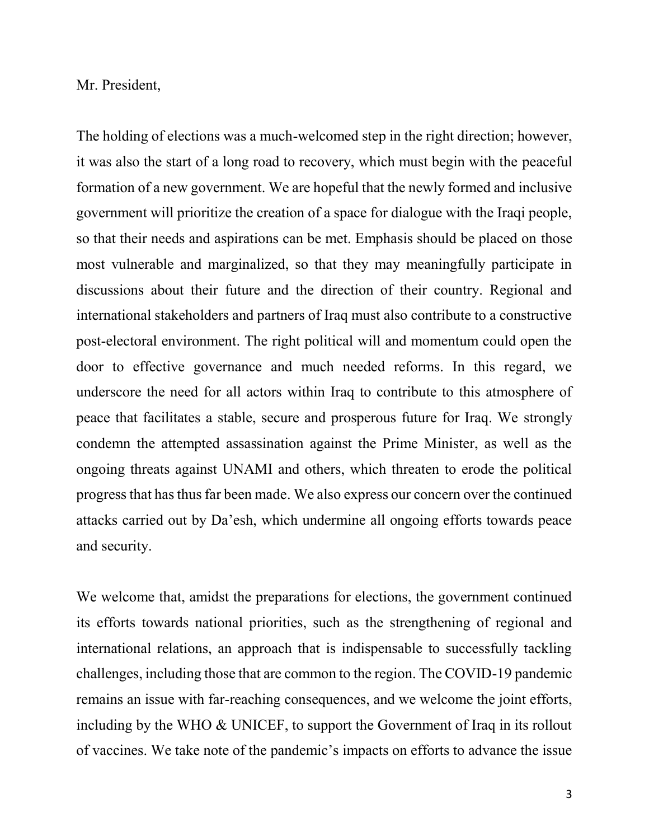#### Mr. President,

The holding of elections was a much-welcomed step in the right direction; however, it was also the start of a long road to recovery, which must begin with the peaceful formation of a new government. We are hopeful that the newly formed and inclusive government will prioritize the creation of a space for dialogue with the Iraqi people, so that their needs and aspirations can be met. Emphasis should be placed on those most vulnerable and marginalized, so that they may meaningfully participate in discussions about their future and the direction of their country. Regional and international stakeholders and partners of Iraq must also contribute to a constructive post-electoral environment. The right political will and momentum could open the door to effective governance and much needed reforms. In this regard, we underscore the need for all actors within Iraq to contribute to this atmosphere of peace that facilitates a stable, secure and prosperous future for Iraq. We strongly condemn the attempted assassination against the Prime Minister, as well as the ongoing threats against UNAMI and others, which threaten to erode the political progress that has thus far been made. We also express our concern over the continued attacks carried out by Da'esh, which undermine all ongoing efforts towards peace and security.

We welcome that, amidst the preparations for elections, the government continued its efforts towards national priorities, such as the strengthening of regional and international relations, an approach that is indispensable to successfully tackling challenges, including those that are common to the region. The COVID-19 pandemic remains an issue with far-reaching consequences, and we welcome the joint efforts, including by the WHO & UNICEF, to support the Government of Iraq in its rollout of vaccines. We take note of the pandemic's impacts on efforts to advance the issue